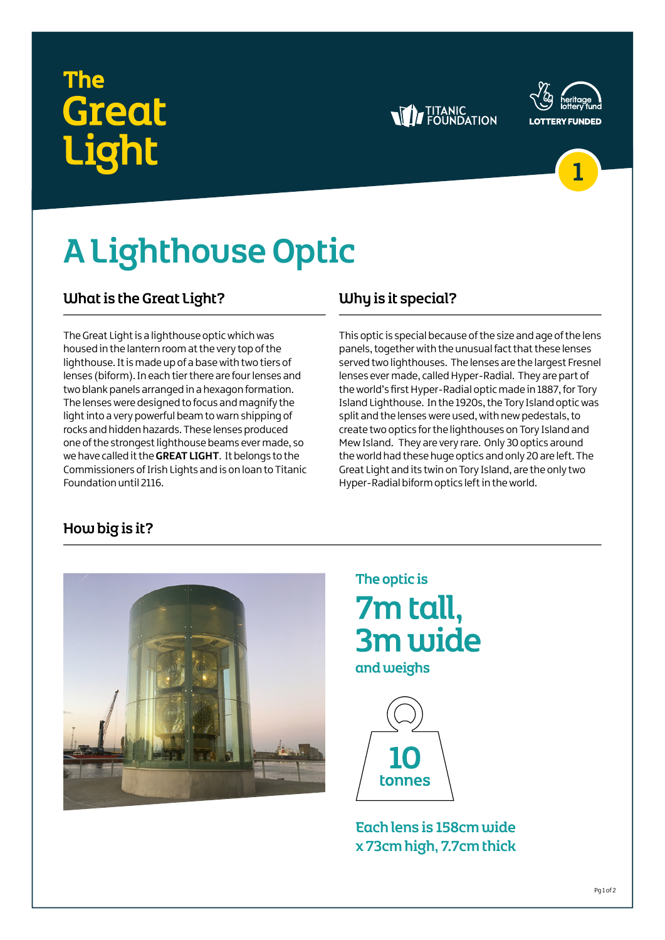## The **Great j**oht







# A Lighthouse Optic

### What is the Great Light?

The Great Light is a lighthouse optic which was housed in the lantern room at the very top of the lighthouse. It is made up of a base with two tiers of lenses (biform). In each tier there are four lenses and two blank panels arranged in a hexagon formation. The lenses were designed to focus and magnify the light into a very powerful beam to warn shipping of rocks and hidden hazards. These lenses produced one of the strongest lighthouse beams ever made, so we have called it the **GREAT LIGHT**. It belongs to the Commissioners of Irish Lights and is on loan to Titanic Foundation until 2116.

## Why is it special?

This optic is special because of the size and age of the lens panels, together with the unusual fact that these lenses served two lighthouses. The lenses are the largest Fresnel lenses ever made, called Hyper-Radial. They are part of the world's first Hyper-Radial optic made in 1887, for Tory Island Lighthouse. In the 1920s, the Tory Island optic was split and the lenses were used, with new pedestals, to create two optics for the lighthouses on Tory Island and Mew Island. They are very rare. Only 30 optics around the world had these huge optics and only 20 are left. The Great Light and its twin on Tory Island, are the only two Hyper-Radial biform optics left in the world.

## How big is it?



The optic is 7m tall, 3m wide

and weighs



Each lens is 158cm wide x 73cm high, 7.7cm thick